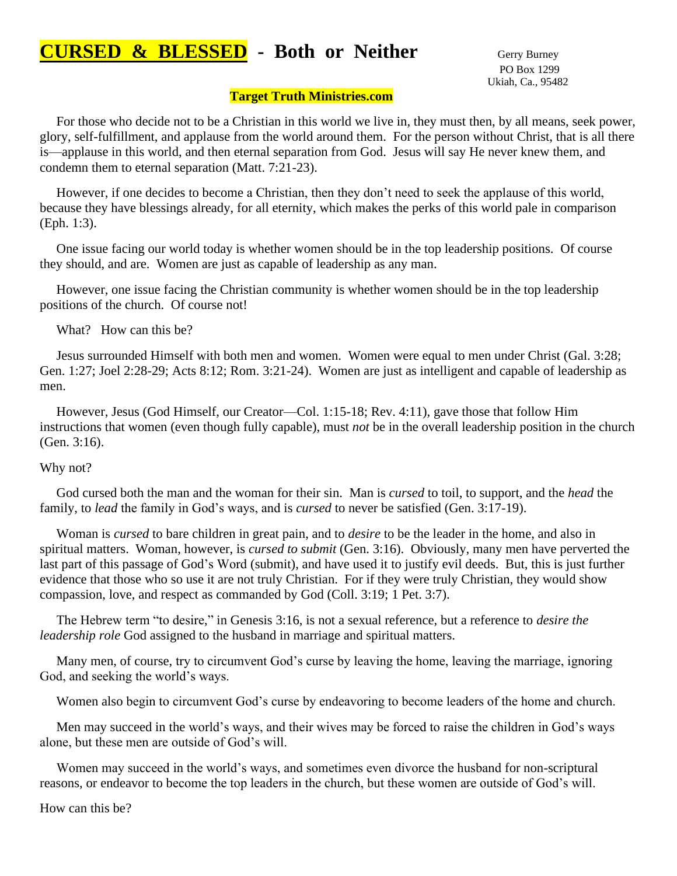## **CURSED & BLESSED** - Both or Neither **Gerry Burney PO BOX 1299 PO BOX 1299 PO BOX 1299**

Ukiah, Ca., 95482

## **Target Truth Ministries.com**

 For those who decide not to be a Christian in this world we live in, they must then, by all means, seek power, glory, self-fulfillment, and applause from the world around them. For the person without Christ, that is all there is—applause in this world, and then eternal separation from God. Jesus will say He never knew them, and condemn them to eternal separation (Matt. 7:21-23).

 However, if one decides to become a Christian, then they don't need to seek the applause of this world, because they have blessings already, for all eternity, which makes the perks of this world pale in comparison (Eph. 1:3).

 One issue facing our world today is whether women should be in the top leadership positions. Of course they should, and are. Women are just as capable of leadership as any man.

 However, one issue facing the Christian community is whether women should be in the top leadership positions of the church. Of course not!

What? How can this be?

 Jesus surrounded Himself with both men and women. Women were equal to men under Christ (Gal. 3:28; Gen. 1:27; Joel 2:28-29; Acts 8:12; Rom. 3:21-24). Women are just as intelligent and capable of leadership as men.

 However, Jesus (God Himself, our Creator—Col. 1:15-18; Rev. 4:11), gave those that follow Him instructions that women (even though fully capable), must *not* be in the overall leadership position in the church (Gen. 3:16).

## Why not?

 God cursed both the man and the woman for their sin. Man is *cursed* to toil, to support, and the *head* the family, to *lead* the family in God's ways, and is *cursed* to never be satisfied (Gen. 3:17-19).

 Woman is *cursed* to bare children in great pain, and to *desire* to be the leader in the home, and also in spiritual matters. Woman, however, is *cursed to submit* (Gen. 3:16). Obviously, many men have perverted the last part of this passage of God's Word (submit), and have used it to justify evil deeds. But, this is just further evidence that those who so use it are not truly Christian. For if they were truly Christian, they would show compassion, love, and respect as commanded by God (Coll. 3:19; 1 Pet. 3:7).

 The Hebrew term "to desire," in Genesis 3:16, is not a sexual reference, but a reference to *desire the leadership role* God assigned to the husband in marriage and spiritual matters.

 Many men, of course, try to circumvent God's curse by leaving the home, leaving the marriage, ignoring God, and seeking the world's ways.

Women also begin to circumvent God's curse by endeavoring to become leaders of the home and church.

 Men may succeed in the world's ways, and their wives may be forced to raise the children in God's ways alone, but these men are outside of God's will.

 Women may succeed in the world's ways, and sometimes even divorce the husband for non-scriptural reasons, or endeavor to become the top leaders in the church, but these women are outside of God's will.

How can this be?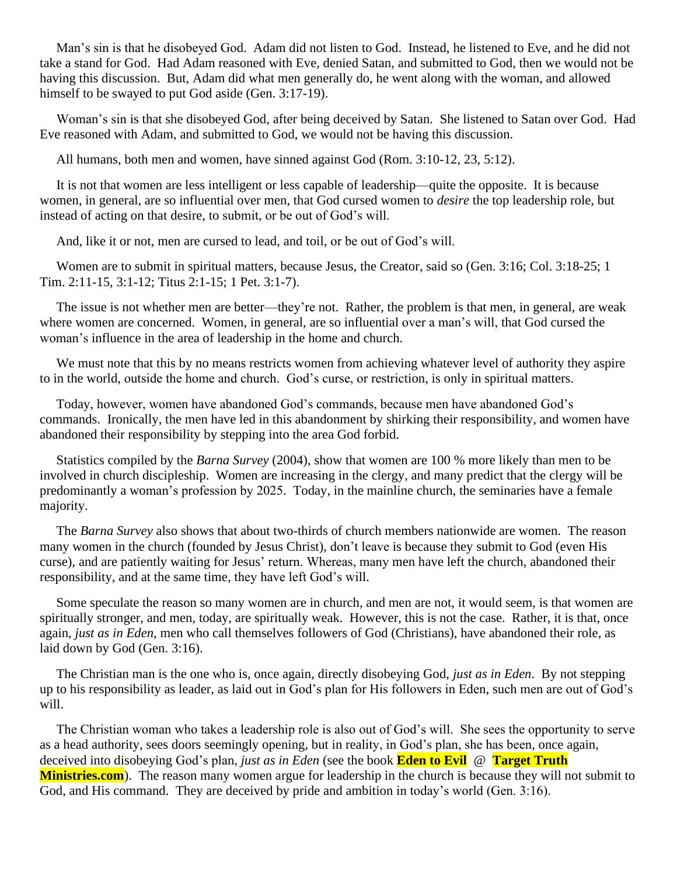Man's sin is that he disobeyed God. Adam did not listen to God. Instead, he listened to Eve, and he did not take a stand for God. Had Adam reasoned with Eve, denied Satan, and submitted to God, then we would not be having this discussion. But, Adam did what men generally do, he went along with the woman, and allowed himself to be swayed to put God aside (Gen. 3:17-19).

 Woman's sin is that she disobeyed God, after being deceived by Satan. She listened to Satan over God. Had Eve reasoned with Adam, and submitted to God, we would not be having this discussion.

All humans, both men and women, have sinned against God (Rom. 3:10-12, 23, 5:12).

 It is not that women are less intelligent or less capable of leadership—quite the opposite. It is because women, in general, are so influential over men, that God cursed women to *desire* the top leadership role, but instead of acting on that desire, to submit, or be out of God's will.

And, like it or not, men are cursed to lead, and toil, or be out of God's will.

 Women are to submit in spiritual matters, because Jesus, the Creator, said so (Gen. 3:16; Col. 3:18-25; 1 Tim. 2:11-15, 3:1-12; Titus 2:1-15; 1 Pet. 3:1-7).

 The issue is not whether men are better—they're not. Rather, the problem is that men, in general, are weak where women are concerned. Women, in general, are so influential over a man's will, that God cursed the woman's influence in the area of leadership in the home and church.

We must note that this by no means restricts women from achieving whatever level of authority they aspire to in the world, outside the home and church. God's curse, or restriction, is only in spiritual matters.

 Today, however, women have abandoned God's commands, because men have abandoned God's commands. Ironically, the men have led in this abandonment by shirking their responsibility, and women have abandoned their responsibility by stepping into the area God forbid.

 Statistics compiled by the *Barna Survey* (2004), show that women are 100 % more likely than men to be involved in church discipleship. Women are increasing in the clergy, and many predict that the clergy will be predominantly a woman's profession by 2025. Today, in the mainline church, the seminaries have a female majority.

 The *Barna Survey* also shows that about two-thirds of church members nationwide are women. The reason many women in the church (founded by Jesus Christ), don't leave is because they submit to God (even His curse), and are patiently waiting for Jesus' return. Whereas, many men have left the church, abandoned their responsibility, and at the same time, they have left God's will.

 Some speculate the reason so many women are in church, and men are not, it would seem, is that women are spiritually stronger, and men, today, are spiritually weak. However, this is not the case. Rather, it is that, once again, *just as in Eden*, men who call themselves followers of God (Christians), have abandoned their role, as laid down by God (Gen. 3:16).

 The Christian man is the one who is, once again, directly disobeying God, *just as in Eden*. By not stepping up to his responsibility as leader, as laid out in God's plan for His followers in Eden, such men are out of God's will.

 The Christian woman who takes a leadership role is also out of God's will. She sees the opportunity to serve as a head authority, sees doors seemingly opening, but in reality, in God's plan, she has been, once again, deceived into disobeying God's plan, *just as in Eden* (see the book **Eden to Evil** @ **Target Truth Ministries.com**). The reason many women argue for leadership in the church is because they will not submit to God, and His command. They are deceived by pride and ambition in today's world (Gen. 3:16).